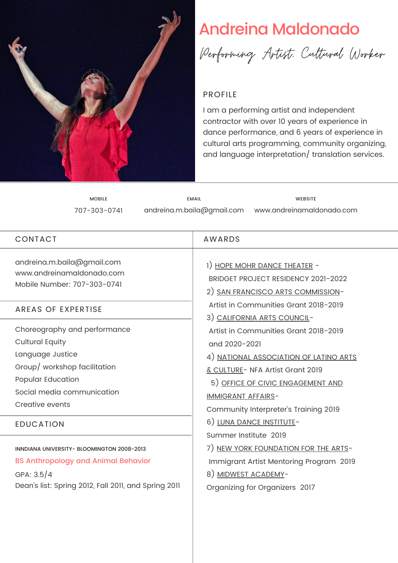

# Andreina Maldonado



## PROFILE

I am a performing artist and independent contractor with over 10 years of experience in dance performance, and 6 years of experience in cultural arts programming, community organizing, and language interpretation/ translation services.

MOBILE 707-303-0741 andreina.m.baila@gmail.com EMAIL www.andreinamaldonado.com WEBSITE

| CONTACT                                                                                                                                                                                              | <b>AWARDS</b>                                                                                                                                                                                                                                                                                                                                                                                                                                    |
|------------------------------------------------------------------------------------------------------------------------------------------------------------------------------------------------------|--------------------------------------------------------------------------------------------------------------------------------------------------------------------------------------------------------------------------------------------------------------------------------------------------------------------------------------------------------------------------------------------------------------------------------------------------|
| andreina.m.baila@gmail.com<br>www.andreinamaldonado.com<br>Mobile Number: 707-303-0741                                                                                                               | 1) HOPE MOHR DANCE THEATER -<br><b>BRIDGET PROJECT RESIDENCY 2021-2022</b><br>2) SAN FRANCISCO ARTS COMMISSION-                                                                                                                                                                                                                                                                                                                                  |
| <b>AREAS OF EXPERTISE</b>                                                                                                                                                                            | Artist in Communities Grant 2018-2019<br>3) CALIFORNIA ARTS COUNCIL-                                                                                                                                                                                                                                                                                                                                                                             |
| Choreography and performance<br><b>Cultural Equity</b><br>Language Justice<br>Group/ workshop facilitation<br>Popular Education<br>Social media communication<br>Creative events<br><b>EDUCATION</b> | Artist in Communities Grant 2018-2019<br>and 2020-2021<br>4) NATIONAL ASSOCIATION OF LATINO ARTS<br>& CULTURE- NFA Artist Grant 2019<br>5) OFFICE OF CIVIC ENGAGEMENT AND<br><b>IMMIGRANT AFFAIRS-</b><br>Community Interpreter's Training 2019<br>6) LUNA DANCE INSTITUTE-<br>Summer Institute 2019<br>7) NEW YORK FOUNDATION FOR THE ARTS-<br>Immigrant Artist Mentoring Program 2019<br>8) MIDWEST ACADEMY-<br>Organizing for Organizers 2017 |
| INNDIANA UNIVERSITY- BLOOMINGTON 2008-2013<br><b>BS Anthropology and Animal Behavior</b><br>GPA: $3.5/4$<br>Dean's list: Spring 2012, Fall 2011, and Spring 2011                                     |                                                                                                                                                                                                                                                                                                                                                                                                                                                  |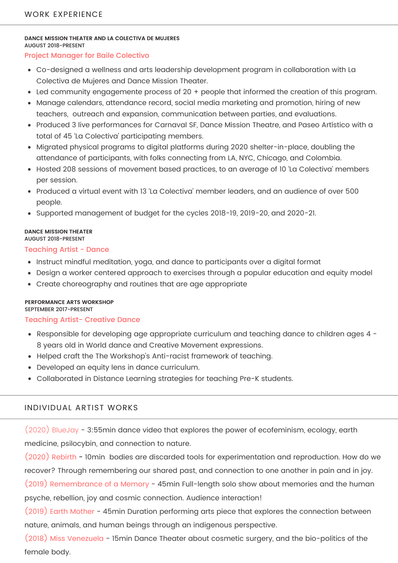#### **DANCE MISSION THEATER AND LA COLECTIVA DE MUJERES** AUGUST 2018-PRESENT

#### Project Manager for Baile Colectivo

- Co-designed a wellness and arts leadership development program in collaboration with La Colectiva de Mujeres and Dance Mission Theater.
- Led community engagemente process of 20 + people that informed the creation of this program.
- Manage calendars, attendance record, social media marketing and promotion, hiring of new teachers, outreach and expansion, communication between parties, and evaluations.
- Produced 3 live performances for Carnaval SF, Dance Mission Theatre, and Paseo Artístico with a total of 45 'La Colectiva' participating members.
- Migrated physical programs to digital platforms during 2020 shelter-in-place, doubling the attendance of participants, with folks connecting from LA, NYC, Chicago, and Colombia.
- Hosted 208 sessions of movement based practices, to an average of 10 'La Colectiva' members per session.
- Produced a virtual event with 13 'La Colectiva' member leaders, and an audience of over 500 people.
- Supported management of budget for the cycles 2018-19, 2019-20, and 2020-21.

#### **DANCE MISSION THEATER** AUGUST 2018-PRESENT

#### Teaching Artist - Dance

- Instruct mindful meditation, yoga, and dance to participants over a digital format
- Design a worker centered approach to exercises through a popular education and equity model
- Create choreography and routines that are age appropriate

#### **PERFORMANCE ARTS WORKSHOP**

#### SEPTEMBER 2017-PRESENT

### Teaching Artist- Creative Dance

- Responsible for developing age appropriate curriculum and teaching dance to children ages 4 -8 years old in World dance and Creative Movement expressions.
- Helped craft the The Workshop's Anti-racist framework of teaching.
- Developed an equity lens in dance curriculum.
- Collaborated in Distance Learning strategies for teaching Pre-K students.

## INDIVIDUAL ARTIST WORKS

(2020) BlueJay - 3:55min dance video that explores the power of ecofeminism, ecology, earth medicine, psilocybin, and connection to nature.

(2020) Rebirth - 10min bodies are discarded tools for experimentation and reproduction. How do we recover? Through remembering our shared past, and connection to one another in pain and in joy.

(2019) Remembrance of a Memory - 45min Full-length solo show about memories and the human psyche, rebellion, joy and cosmic connection. Audience interaction!

(2019) Earth Mother - 45min Duration performing arts piece that explores the connection between nature, animals, and human beings through an indigenous perspective.

(2018) Miss Venezuela - 15min Dance Theater about cosmetic surgery, and the bio-politics of the female body.